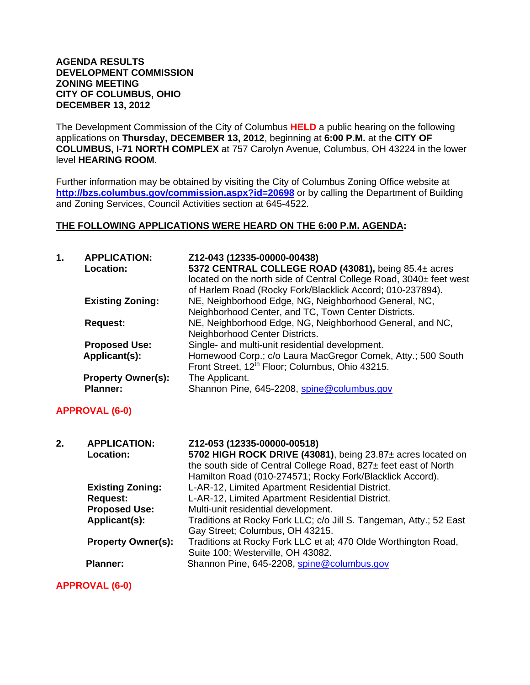#### **AGENDA RESULTS DEVELOPMENT COMMISSION ZONING MEETING CITY OF COLUMBUS, OHIO DECEMBER 13, 2012**

The Development Commission of the City of Columbus **HELD** a public hearing on the following applications on **Thursday, DECEMBER 13, 2012**, beginning at **6:00 P.M.** at the **CITY OF COLUMBUS, I-71 NORTH COMPLEX** at 757 Carolyn Avenue, Columbus, OH 43224 in the lower level **HEARING ROOM**.

Further information may be obtained by visiting the City of Columbus Zoning Office website at **http://bzs.columbus.gov/commission.aspx?id=20698** or by calling the Department of Building and Zoning Services, Council Activities section at 645-4522.

### **THE FOLLOWING APPLICATIONS WERE HEARD ON THE 6:00 P.M. AGENDA:**

| 1. | <b>APPLICATION:</b><br><b>Location:</b>      | Z12-043 (12335-00000-00438)<br>5372 CENTRAL COLLEGE ROAD (43081), being 85.4± acres<br>located on the north side of Central College Road, 3040± feet west<br>of Harlem Road (Rocky Fork/Blacklick Accord; 010-237894). |
|----|----------------------------------------------|------------------------------------------------------------------------------------------------------------------------------------------------------------------------------------------------------------------------|
|    | <b>Existing Zoning:</b>                      | NE, Neighborhood Edge, NG, Neighborhood General, NC,<br>Neighborhood Center, and TC, Town Center Districts.                                                                                                            |
|    | <b>Request:</b>                              | NE, Neighborhood Edge, NG, Neighborhood General, and NC,<br>Neighborhood Center Districts.                                                                                                                             |
|    | <b>Proposed Use:</b>                         | Single- and multi-unit residential development.                                                                                                                                                                        |
|    | Applicant(s):                                | Homewood Corp.; c/o Laura MacGregor Comek, Atty.; 500 South<br>Front Street, 12 <sup>th</sup> Floor; Columbus, Ohio 43215.                                                                                             |
|    | <b>Property Owner(s):</b><br><b>Planner:</b> | The Applicant.<br>Shannon Pine, 645-2208, spine@columbus.gov                                                                                                                                                           |

### **APPROVAL (6-0)**

| <b>APPLICATION:</b><br>2.<br><b>Location:</b> | Z12-053 (12335-00000-00518)<br>5702 HIGH ROCK DRIVE (43081), being 23.87± acres located on<br>the south side of Central College Road, 827± feet east of North<br>Hamilton Road (010-274571; Rocky Fork/Blacklick Accord). |
|-----------------------------------------------|---------------------------------------------------------------------------------------------------------------------------------------------------------------------------------------------------------------------------|
| <b>Existing Zoning:</b>                       | L-AR-12, Limited Apartment Residential District.                                                                                                                                                                          |
| <b>Request:</b>                               | L-AR-12, Limited Apartment Residential District.                                                                                                                                                                          |
| <b>Proposed Use:</b>                          | Multi-unit residential development.                                                                                                                                                                                       |
| Applicant(s):                                 | Traditions at Rocky Fork LLC; c/o Jill S. Tangeman, Atty.; 52 East<br>Gay Street; Columbus, OH 43215.                                                                                                                     |
| <b>Property Owner(s):</b>                     | Traditions at Rocky Fork LLC et al; 470 Olde Worthington Road,<br>Suite 100; Westerville, OH 43082.                                                                                                                       |
| <b>Planner:</b>                               | Shannon Pine, 645-2208, spine@columbus.gov                                                                                                                                                                                |

**APPROVAL (6-0)**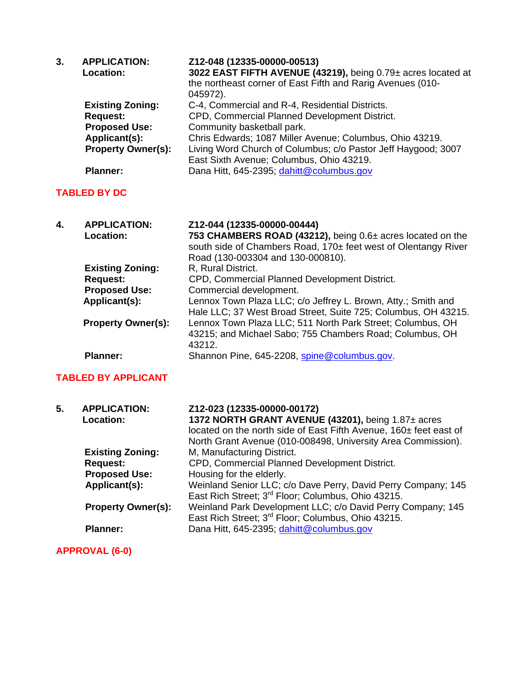| 3.                  | <b>APPLICATION:</b><br>Location:        | Z12-048 (12335-00000-00513)<br>3022 EAST FIFTH AVENUE (43219), being 0.79± acres located at<br>the northeast corner of East Fifth and Rarig Avenues (010-<br>045972). |
|---------------------|-----------------------------------------|-----------------------------------------------------------------------------------------------------------------------------------------------------------------------|
|                     | <b>Existing Zoning:</b>                 | C-4, Commercial and R-4, Residential Districts.                                                                                                                       |
|                     | <b>Request:</b>                         | CPD, Commercial Planned Development District.                                                                                                                         |
|                     | <b>Proposed Use:</b>                    | Community basketball park.                                                                                                                                            |
|                     | Applicant(s):                           | Chris Edwards; 1087 Miller Avenue; Columbus, Ohio 43219.                                                                                                              |
|                     | <b>Property Owner(s):</b>               | Living Word Church of Columbus; c/o Pastor Jeff Haygood; 3007<br>East Sixth Avenue; Columbus, Ohio 43219.                                                             |
|                     | <b>Planner:</b>                         | Dana Hitt, 645-2395; dahitt@columbus.gov                                                                                                                              |
| <b>TABLED BY DC</b> |                                         |                                                                                                                                                                       |
| 4.                  | <b>APPLICATION:</b><br><b>Location:</b> | Z12-044 (12335-00000-00444)<br>753 CHAMBERS ROAD (43212), being 0.6± acres located on the<br>south side of Chambers Road, 170± feet west of Olentangy River           |

Road (130-003304 and 130-000810). **Existing Zoning:** R, Rural District. **Request:** CPD, Commercial Planned Development District. **Proposed Use:** Commercial development. **Applicant(s):** Lennox Town Plaza LLC; c/o Jeffrey L. Brown, Atty.; Smith and Hale LLC; 37 West Broad Street, Suite 725; Columbus, OH 43215. **Property Owner(s):** Lennox Town Plaza LLC; 511 North Park Street; Columbus, OH 43215; and Michael Sabo; 755 Chambers Road; Columbus, OH 43212. Planner: Shannon Pine, 645-2208, spine@columbus.gov.

### **TABLED BY APPLICANT**

| 5. | <b>APPLICATION:</b><br><b>Location:</b> | Z12-023 (12335-00000-00172)<br>1372 NORTH GRANT AVENUE (43201), being 1.87± acres<br>located on the north side of East Fifth Avenue, 160± feet east of<br>North Grant Avenue (010-008498, University Area Commission). |
|----|-----------------------------------------|------------------------------------------------------------------------------------------------------------------------------------------------------------------------------------------------------------------------|
|    | <b>Existing Zoning:</b>                 | M, Manufacturing District.                                                                                                                                                                                             |
|    | <b>Request:</b>                         | CPD, Commercial Planned Development District.                                                                                                                                                                          |
|    | <b>Proposed Use:</b>                    | Housing for the elderly.                                                                                                                                                                                               |
|    | Applicant(s):                           | Weinland Senior LLC; c/o Dave Perry, David Perry Company; 145<br>East Rich Street; 3 <sup>rd</sup> Floor; Columbus, Ohio 43215.                                                                                        |
|    | <b>Property Owner(s):</b>               | Weinland Park Development LLC; c/o David Perry Company; 145<br>East Rich Street; 3 <sup>rd</sup> Floor; Columbus, Ohio 43215.                                                                                          |
|    | <b>Planner:</b>                         | Dana Hitt, 645-2395; dahitt@columbus.gov                                                                                                                                                                               |

**APPROVAL (6-0)**